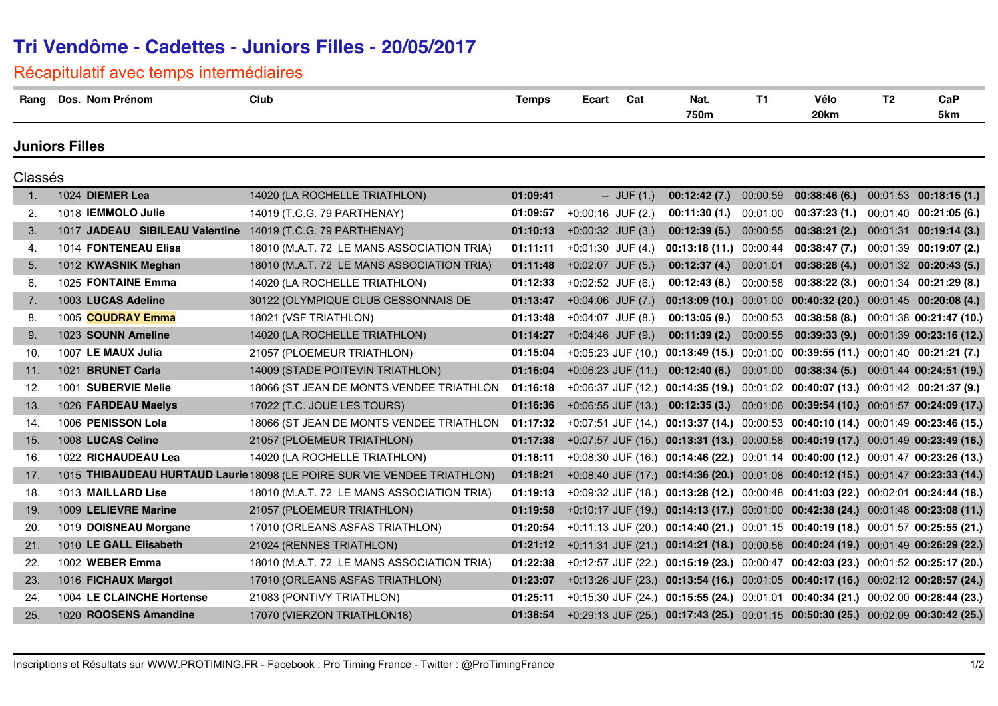## **Tri Vendôme - Cadettes - Juniors Filles - 20/05/2017**

Récapitulatif avec temps intermédiaires

| Rang                  | Dos. Nom Prénom                | Club                                                                     | <b>Temps</b> | Ecart                 | Cat            | Nat.<br>750m                  | <b>T1</b> | Vélo<br>20km                                                                      | T <sub>2</sub> | CaP<br>5km               |
|-----------------------|--------------------------------|--------------------------------------------------------------------------|--------------|-----------------------|----------------|-------------------------------|-----------|-----------------------------------------------------------------------------------|----------------|--------------------------|
| <b>Juniors Filles</b> |                                |                                                                          |              |                       |                |                               |           |                                                                                   |                |                          |
| Classés               |                                |                                                                          |              |                       |                |                               |           |                                                                                   |                |                          |
| 1.                    | 1024 DIEMER Lea                | 14020 (LA ROCHELLE TRIATHLON)                                            | 01:09:41     |                       | $-$ JUF $(1.)$ | 00:12:42(7.)                  | 00:00:59  | 00:38:46(6)                                                                       |                | $00:01:53$ 00:18:15 (1.) |
| 2.                    | 1018 IEMMOLO Julie             | 14019 (T.C.G. 79 PARTHENAY)                                              | 01:09:57     | $+0.00:16$ JUF (2.)   |                | <b>00:11:30 (1.)</b> 00:01:00 |           | 00:37:23(1.)                                                                      |                | $00:01:40$ 00:21:05 (6.) |
| 3.                    | 1017 JADEAU SIBILEAU Valentine | 14019 (T.C.G. 79 PARTHENAY)                                              | 01:10:13     | $+0:00:32$ JUF $(3.)$ |                | 00:12:39(5.)                  | 00:00:55  | 00:38:21(2.)                                                                      |                | 00:01:31 00:19:14 (3.)   |
| 4.                    | 1014 FONTENEAU Elisa           | 18010 (M.A.T. 72 LE MANS ASSOCIATION TRIA)                               | 01:11:11     | $+0:01:30$ JUF (4.)   |                | 00:13:18 (11.) 00:00:44       |           | 00:38:47(7.)                                                                      |                | $00:01:39$ 00:19:07 (2.) |
| 5.                    | 1012 KWASNIK Meghan            | 18010 (M.A.T. 72 LE MANS ASSOCIATION TRIA)                               | 01:11:48     | $+0:02:07$ JUF (5.)   |                | 00:12:37(4)                   | 00:01:01  | 00:38:28(4)                                                                       |                | $00:01:32$ 00:20:43 (5.) |
| 6.                    | 1025 FONTAINE Emma             | 14020 (LA ROCHELLE TRIATHLON)                                            | 01:12:33     | $+0:02:52$ JUF (6.)   |                | $00:12:43(8.)$ $00:00:58$     |           | 00:38:22 (3.)                                                                     |                | $00:01:34$ 00:21:29 (8.) |
| 7.                    | 1003 LUCAS Adeline             | 30122 (OLYMPIQUE CLUB CESSONNAIS DE                                      | 01:13:47     | $+0:04:06$ JUF $(7.)$ |                |                               |           | 00:13:09 (10.) 00:01:00 00:40:32 (20.) 00:01:45 00:20:08 (4.)                     |                |                          |
| 8.                    | 1005 COUDRAY Emma              | 18021 (VSF TRIATHLON)                                                    | 01:13:48     | $+0.04.07$ JUF (8.)   |                | $00:13:05(9.)$ $00:00:53$     |           | 00:38:58(8.)                                                                      |                | 00:01:38 00:21:47 (10.)  |
| 9.                    | 1023 SOUNN Ameline             | 14020 (LA ROCHELLE TRIATHLON)                                            | 01:14:27     | $+0:04:46$ JUF (9.)   |                | 00:11:39(2.)                  | 00:00:55  | 00:39:33(9.)                                                                      |                | 00:01:39 00:23:16 (12.)  |
| 10.                   | 1007 LE MAUX Julia             | 21057 (PLOEMEUR TRIATHLON)                                               | 01:15:04     |                       |                |                               |           | +0:05:23 JUF (10.) 00:13:49 (15.) 00:01:00 00:39:55 (11.) 00:01:40 00:21:21 (7.)  |                |                          |
| 11.                   | 1021 BRUNET Carla              | 14009 (STADE POITEVIN TRIATHLON)                                         | 01:16:04     | $+0.06:23$ JUF (11.)  |                | 00:12:40(6.)                  |           | $00:01:00$ 00:38:34 (5.)                                                          |                | 00:01:44 00:24:51 (19.)  |
| 12.                   | 1001 SUBERVIE Melie            | 18066 (ST JEAN DE MONTS VENDEE TRIATHLON                                 | 01:16:18     |                       |                |                               |           | +0:06:37 JUF (12.) 00:14:35 (19.) 00:01:02 00:40:07 (13.) 00:01:42 00:21:37 (9.)  |                |                          |
| 13.                   | 1026 FARDEAU Maelys            | 17022 (T.C. JOUE LES TOURS)                                              | 01:16:36     | $+0.06:55$ JUF (13.)  |                |                               |           | 00:12:35 (3.) 00:01:06 00:39:54 (10.) 00:01:57 00:24:09 (17.)                     |                |                          |
| 14.                   | 1006 PENISSON Lola             | 18066 (ST JEAN DE MONTS VENDEE TRIATHLON                                 | 01:17:32     |                       |                |                               |           | +0:07:51 JUF (14.) 00:13:37 (14.) 00:00:53 00:40:10 (14.) 00:01:49 00:23:46 (15.) |                |                          |
| 15.                   | 1008 LUCAS Celine              | 21057 (PLOEMEUR TRIATHLON)                                               | 01:17:38     |                       |                |                               |           | +0:07:57 JUF (15.) 00:13:31 (13.) 00:00:58 00:40:19 (17.) 00:01:49 00:23:49 (16.) |                |                          |
| 16.                   | 1022 RICHAUDEAU Lea            | 14020 (LA ROCHELLE TRIATHLON)                                            | 01:18:11     |                       |                |                               |           | +0:08:30 JUF (16.) 00:14:46 (22.) 00:01:14 00:40:00 (12.) 00:01:47 00:23:26 (13.) |                |                          |
| 17.                   |                                | 1015 THIBAUDEAU HURTAUD Laurie 18098 (LE POIRE SUR VIE VENDEE TRIATHLON) | 01:18:21     |                       |                |                               |           | +0:08:40 JUF (17.) 00:14:36 (20.) 00:01:08 00:40:12 (15.) 00:01:47 00:23:33 (14.) |                |                          |
| 18.                   | 1013 MAILLARD Lise             | 18010 (M.A.T. 72 LE MANS ASSOCIATION TRIA)                               | 01:19:13     |                       |                |                               |           | +0:09:32 JUF (18.) 00:13:28 (12.) 00:00:48 00:41:03 (22.) 00:02:01 00:24:44 (18.) |                |                          |
| 19.                   | 1009 LELIEVRE Marine           | 21057 (PLOEMEUR TRIATHLON)                                               | 01:19:58     |                       |                |                               |           | +0:10:17 JUF (19.) 00:14:13 (17.) 00:01:00 00:42:38 (24.) 00:01:48 00:23:08 (11.) |                |                          |
| 20.                   | 1019 DOISNEAU Morgane          | 17010 (ORLEANS ASFAS TRIATHLON)                                          | 01:20:54     |                       |                |                               |           | +0:11:13 JUF (20.) 00:14:40 (21.) 00:01:15 00:40:19 (18.) 00:01:57 00:25:55 (21.) |                |                          |
| 21.                   | 1010 LE GALL Elisabeth         | 21024 (RENNES TRIATHLON)                                                 | 01:21:12     |                       |                |                               |           | +0:11:31 JUF (21.) 00:14:21 (18.) 00:00:56 00:40:24 (19.) 00:01:49 00:26:29 (22.) |                |                          |
| 22.                   | 1002 WEBER Emma                | 18010 (M.A.T. 72 LE MANS ASSOCIATION TRIA)                               | 01:22:38     |                       |                |                               |           | +0:12:57 JUF (22.) 00:15:19 (23.) 00:00:47 00:42:03 (23.) 00:01:52 00:25:17 (20.) |                |                          |
| 23.                   | 1016 FICHAUX Margot            | 17010 (ORLEANS ASFAS TRIATHLON)                                          | 01:23:07     |                       |                |                               |           | +0:13:26 JUF (23.) 00:13:54 (16.) 00:01:05 00:40:17 (16.) 00:02:12 00:28:57 (24.) |                |                          |
| 24.                   | 1004 LE CLAINCHE Hortense      | 21083 (PONTIVY TRIATHLON)                                                | 01:25:11     |                       |                |                               |           | +0:15:30 JUF (24.) 00:15:55 (24.) 00:01:01 00:40:34 (21.) 00:02:00 00:28:44 (23.) |                |                          |
| 25.                   | 1020 ROOSENS Amandine          | 17070 (VIERZON TRIATHLON18)                                              | 01:38:54     |                       |                |                               |           | +0:29:13 JUF (25.) 00:17:43 (25.) 00:01:15 00:50:30 (25.) 00:02:09 00:30:42 (25.) |                |                          |